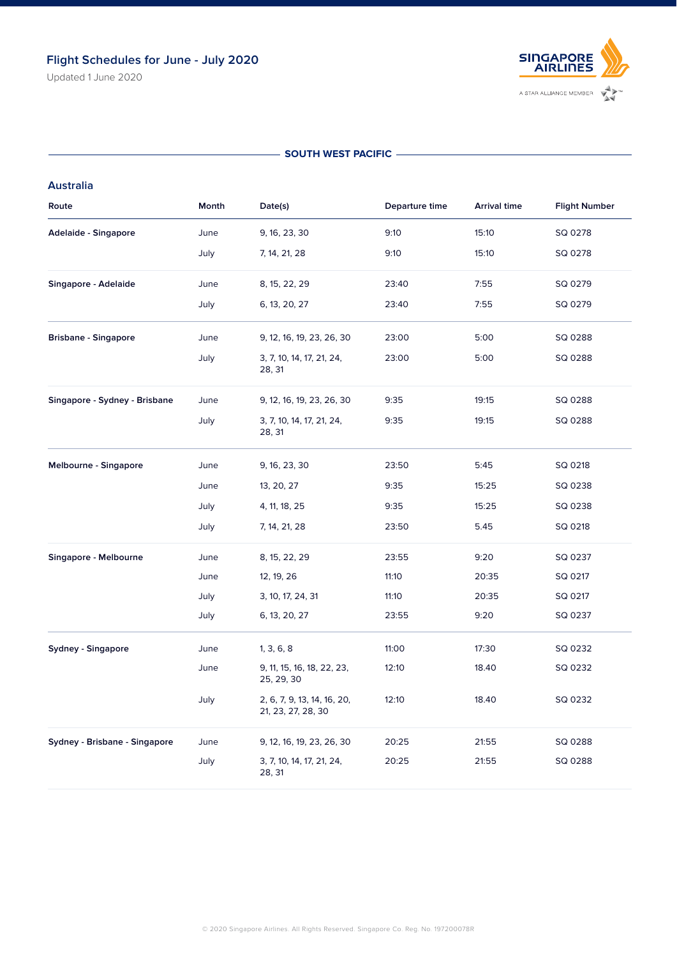Updated 1 June 2020



## - SOUTH WEST PACIFIC -

## **Australia**

| Route                         | Month | Date(s)                                           | Departure time | <b>Arrival time</b> | <b>Flight Number</b> |
|-------------------------------|-------|---------------------------------------------------|----------------|---------------------|----------------------|
| Adelaide - Singapore          | June  | 9, 16, 23, 30                                     | 9:10           | 15:10               | SQ 0278              |
|                               | July  | 7, 14, 21, 28                                     | 9:10           | 15:10               | SQ 0278              |
| Singapore - Adelaide          | June  | 8, 15, 22, 29                                     | 23:40          | 7:55                | SQ 0279              |
|                               | July  | 6, 13, 20, 27                                     | 23:40          | 7:55                | SQ 0279              |
| <b>Brisbane - Singapore</b>   | June  | 9, 12, 16, 19, 23, 26, 30                         | 23:00          | 5:00                | SQ 0288              |
|                               | July  | 3, 7, 10, 14, 17, 21, 24,<br>28, 31               | 23:00          | 5:00                | SQ 0288              |
| Singapore - Sydney - Brisbane | June  | 9, 12, 16, 19, 23, 26, 30                         | 9:35           | 19:15               | SQ 0288              |
|                               | July  | 3, 7, 10, 14, 17, 21, 24,<br>28, 31               | 9:35           | 19:15               | SQ 0288              |
| Melbourne - Singapore         | June  | 9, 16, 23, 30                                     | 23:50          | 5:45                | SQ 0218              |
|                               | June  | 13, 20, 27                                        | 9:35           | 15:25               | SQ 0238              |
|                               | July  | 4, 11, 18, 25                                     | 9:35           | 15:25               | SQ 0238              |
|                               | July  | 7, 14, 21, 28                                     | 23:50          | 5.45                | SQ 0218              |
| Singapore - Melbourne         | June  | 8, 15, 22, 29                                     | 23:55          | 9:20                | SQ 0237              |
|                               | June  | 12, 19, 26                                        | 11:10          | 20:35               | SQ 0217              |
|                               | July  | 3, 10, 17, 24, 31                                 | 11:10          | 20:35               | SQ 0217              |
|                               | July  | 6, 13, 20, 27                                     | 23:55          | 9:20                | SQ 0237              |
| Sydney - Singapore            | June  | 1, 3, 6, 8                                        | 11:00          | 17:30               | SQ 0232              |
|                               | June  | 9, 11, 15, 16, 18, 22, 23,<br>25, 29, 30          | 12:10          | 18.40               | SQ 0232              |
|                               | July  | 2, 6, 7, 9, 13, 14, 16, 20,<br>21, 23, 27, 28, 30 | 12:10          | 18.40               | SQ 0232              |
| Sydney - Brisbane - Singapore | June  | 9, 12, 16, 19, 23, 26, 30                         | 20:25          | 21:55               | SQ 0288              |
|                               | July  | 3, 7, 10, 14, 17, 21, 24,<br>28, 31               | 20:25          | 21:55               | SQ 0288              |